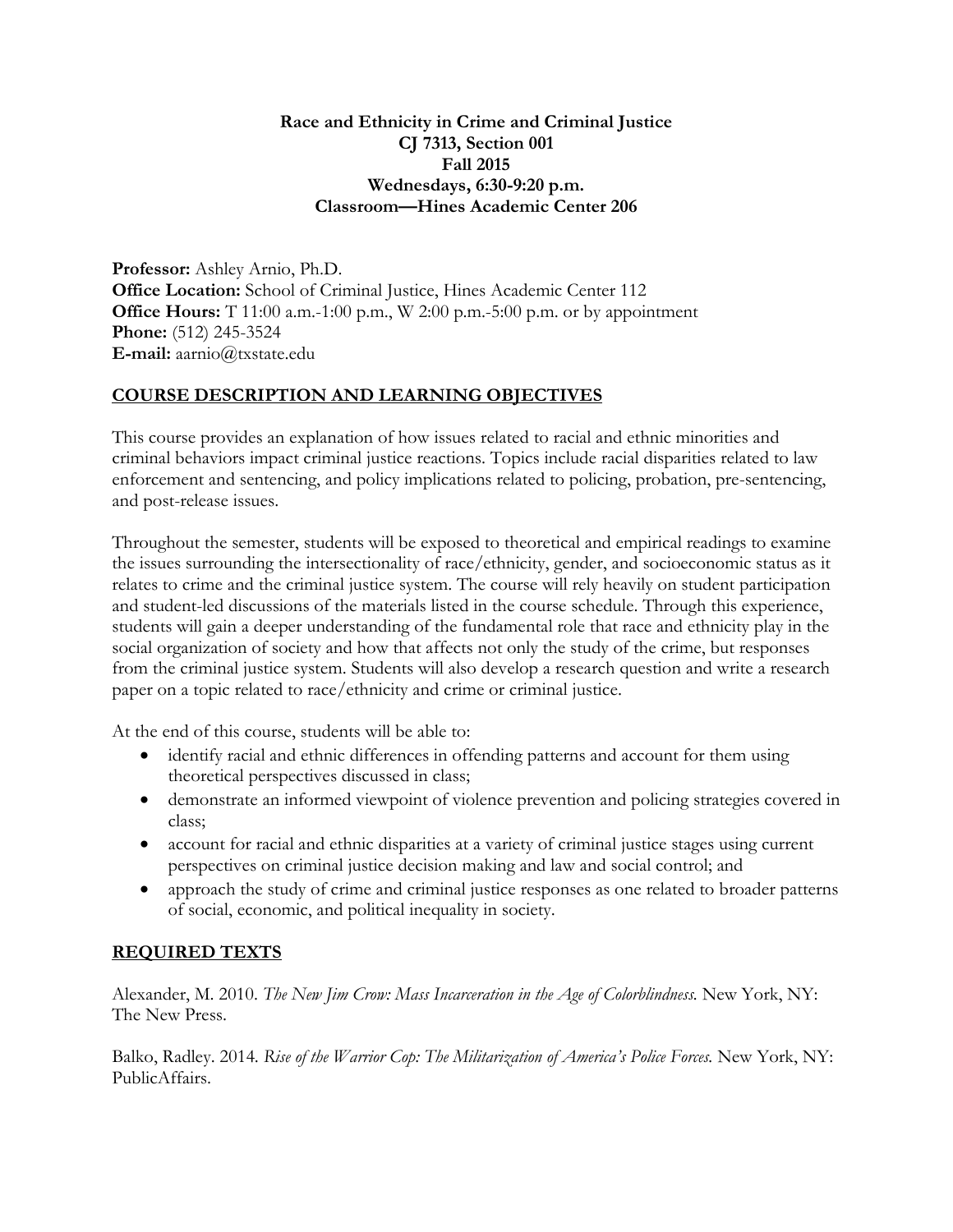# **Race and Ethnicity in Crime and Criminal Justice CJ 7313, Section 001 Fall 2015 Wednesdays, 6:30-9:20 p.m. Classroom—Hines Academic Center 206**

**Professor:** Ashley Arnio, Ph.D. **Office Location:** School of Criminal Justice, Hines Academic Center 112 **Office Hours:** T 11:00 a.m.-1:00 p.m., W 2:00 p.m.-5:00 p.m. or by appointment **Phone:** (512) 245-3524 **E-mail:** aarnio@txstate.edu

# **COURSE DESCRIPTION AND LEARNING OBJECTIVES**

This course provides an explanation of how issues related to racial and ethnic minorities and criminal behaviors impact criminal justice reactions. Topics include racial disparities related to law enforcement and sentencing, and policy implications related to policing, probation, pre-sentencing, and post-release issues.

Throughout the semester, students will be exposed to theoretical and empirical readings to examine the issues surrounding the intersectionality of race/ethnicity, gender, and socioeconomic status as it relates to crime and the criminal justice system. The course will rely heavily on student participation and student-led discussions of the materials listed in the course schedule. Through this experience, students will gain a deeper understanding of the fundamental role that race and ethnicity play in the social organization of society and how that affects not only the study of the crime, but responses from the criminal justice system. Students will also develop a research question and write a research paper on a topic related to race/ethnicity and crime or criminal justice.

At the end of this course, students will be able to:

- identify racial and ethnic differences in offending patterns and account for them using theoretical perspectives discussed in class;
- demonstrate an informed viewpoint of violence prevention and policing strategies covered in class;
- account for racial and ethnic disparities at a variety of criminal justice stages using current perspectives on criminal justice decision making and law and social control; and
- approach the study of crime and criminal justice responses as one related to broader patterns of social, economic, and political inequality in society.

# **REQUIRED TEXTS**

Alexander, M. 2010. *The New Jim Crow: Mass Incarceration in the Age of Colorblindness.* New York, NY: The New Press.

Balko, Radley. 2014. *Rise of the Warrior Cop: The Militarization of America's Police Forces.* New York, NY: PublicAffairs.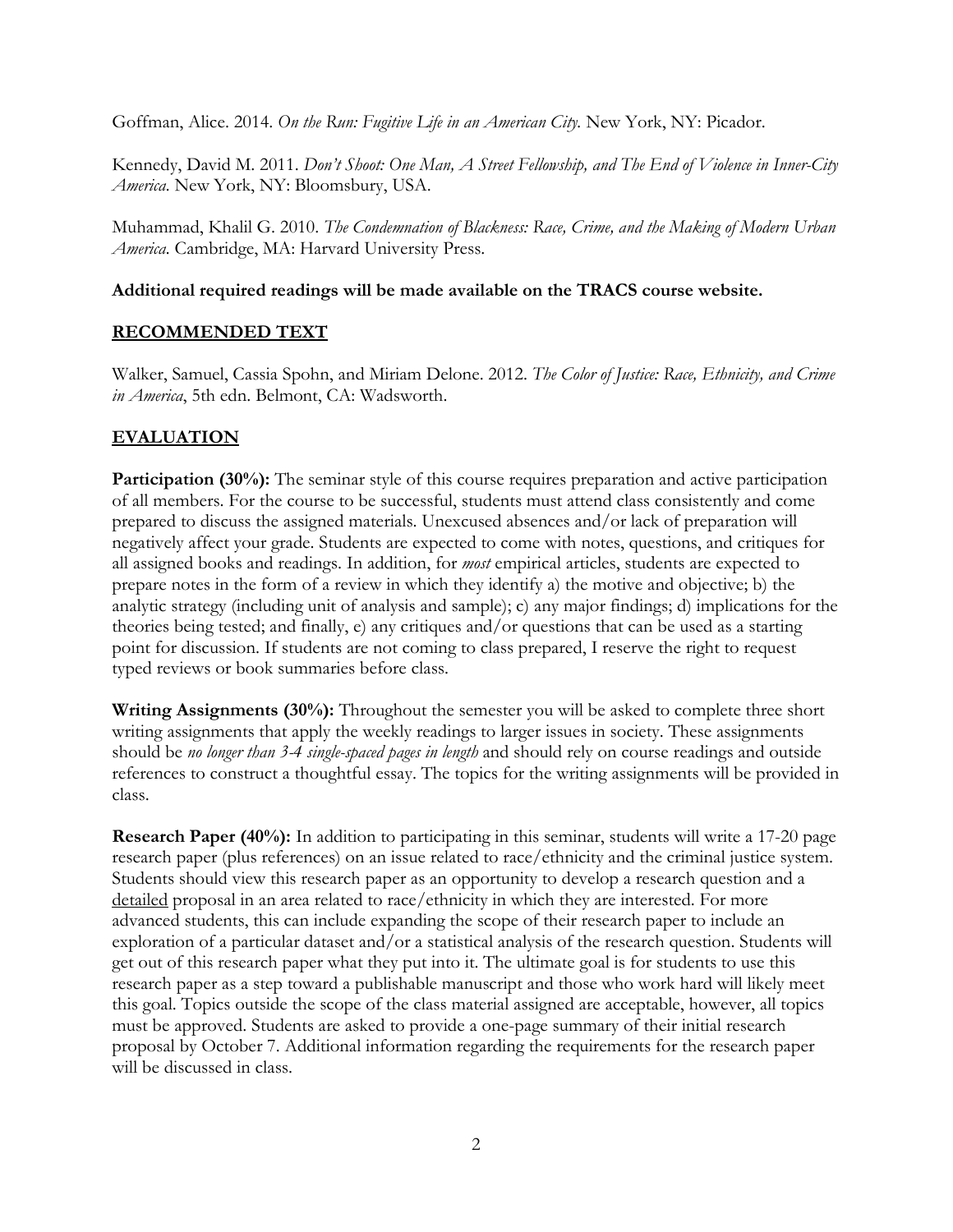Goffman, Alice. 2014. *On the Run: Fugitive Life in an American City.* New York, NY: Picador.

Kennedy, David M. 2011. *Don't Shoot: One Man, A Street Fellowship, and The End of Violence in Inner-City America.* New York, NY: Bloomsbury, USA.

Muhammad, Khalil G. 2010. *The Condemnation of Blackness: Race, Crime, and the Making of Modern Urban America.* Cambridge, MA: Harvard University Press.

# **Additional required readings will be made available on the TRACS course website.**

# **RECOMMENDED TEXT**

Walker, Samuel, Cassia Spohn, and Miriam Delone. 2012. *The Color of Justice: Race, Ethnicity, and Crime in America*, 5th edn. Belmont, CA: Wadsworth.

# **EVALUATION**

**Participation (30%):** The seminar style of this course requires preparation and active participation of all members. For the course to be successful, students must attend class consistently and come prepared to discuss the assigned materials. Unexcused absences and/or lack of preparation will negatively affect your grade. Students are expected to come with notes, questions, and critiques for all assigned books and readings. In addition, for *most* empirical articles, students are expected to prepare notes in the form of a review in which they identify a) the motive and objective; b) the analytic strategy (including unit of analysis and sample); c) any major findings; d) implications for the theories being tested; and finally, e) any critiques and/or questions that can be used as a starting point for discussion. If students are not coming to class prepared, I reserve the right to request typed reviews or book summaries before class.

**Writing Assignments (30%):** Throughout the semester you will be asked to complete three short writing assignments that apply the weekly readings to larger issues in society. These assignments should be *no longer than 3-4 single-spaced pages in length* and should rely on course readings and outside references to construct a thoughtful essay. The topics for the writing assignments will be provided in class.

**Research Paper (40%):** In addition to participating in this seminar, students will write a 17-20 page research paper (plus references) on an issue related to race/ethnicity and the criminal justice system. Students should view this research paper as an opportunity to develop a research question and a detailed proposal in an area related to race/ethnicity in which they are interested. For more advanced students, this can include expanding the scope of their research paper to include an exploration of a particular dataset and/or a statistical analysis of the research question. Students will get out of this research paper what they put into it. The ultimate goal is for students to use this research paper as a step toward a publishable manuscript and those who work hard will likely meet this goal. Topics outside the scope of the class material assigned are acceptable, however, all topics must be approved. Students are asked to provide a one-page summary of their initial research proposal by October 7. Additional information regarding the requirements for the research paper will be discussed in class.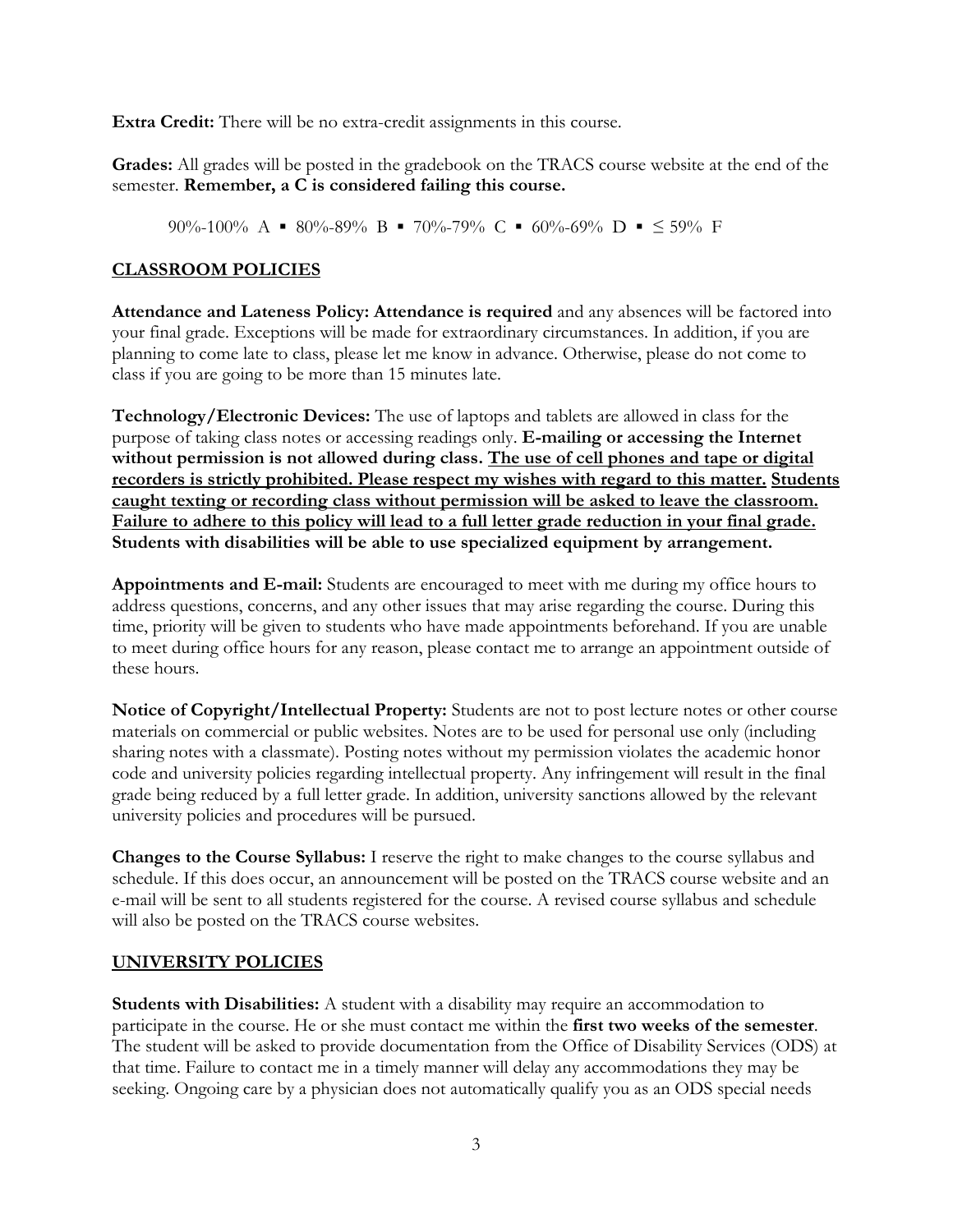**Extra Credit:** There will be no extra-credit assignments in this course.

**Grades:** All grades will be posted in the gradebook on the TRACS course website at the end of the semester. **Remember, a C is considered failing this course.**

90%-100% A  $\blacksquare$  80%-89% B  $\blacksquare$  70%-79% C  $\blacksquare$  60%-69% D  $\blacksquare$   $\leq$  59% F

# **CLASSROOM POLICIES**

**Attendance and Lateness Policy: Attendance is required** and any absences will be factored into your final grade. Exceptions will be made for extraordinary circumstances. In addition, if you are planning to come late to class, please let me know in advance. Otherwise, please do not come to class if you are going to be more than 15 minutes late.

**Technology/Electronic Devices:** The use of laptops and tablets are allowed in class for the purpose of taking class notes or accessing readings only. **E-mailing or accessing the Internet without permission is not allowed during class. The use of cell phones and tape or digital recorders is strictly prohibited. Please respect my wishes with regard to this matter. Students caught texting or recording class without permission will be asked to leave the classroom. Failure to adhere to this policy will lead to a full letter grade reduction in your final grade. Students with disabilities will be able to use specialized equipment by arrangement.**

**Appointments and E-mail:** Students are encouraged to meet with me during my office hours to address questions, concerns, and any other issues that may arise regarding the course. During this time, priority will be given to students who have made appointments beforehand. If you are unable to meet during office hours for any reason, please contact me to arrange an appointment outside of these hours.

**Notice of Copyright/Intellectual Property:** Students are not to post lecture notes or other course materials on commercial or public websites. Notes are to be used for personal use only (including sharing notes with a classmate). Posting notes without my permission violates the academic honor code and university policies regarding intellectual property. Any infringement will result in the final grade being reduced by a full letter grade. In addition, university sanctions allowed by the relevant university policies and procedures will be pursued.

**Changes to the Course Syllabus:** I reserve the right to make changes to the course syllabus and schedule. If this does occur, an announcement will be posted on the TRACS course website and an e-mail will be sent to all students registered for the course. A revised course syllabus and schedule will also be posted on the TRACS course websites.

# **UNIVERSITY POLICIES**

**Students with Disabilities:** A student with a disability may require an accommodation to participate in the course. He or she must contact me within the **first two weeks of the semester**. The student will be asked to provide documentation from the Office of Disability Services (ODS) at that time. Failure to contact me in a timely manner will delay any accommodations they may be seeking. Ongoing care by a physician does not automatically qualify you as an ODS special needs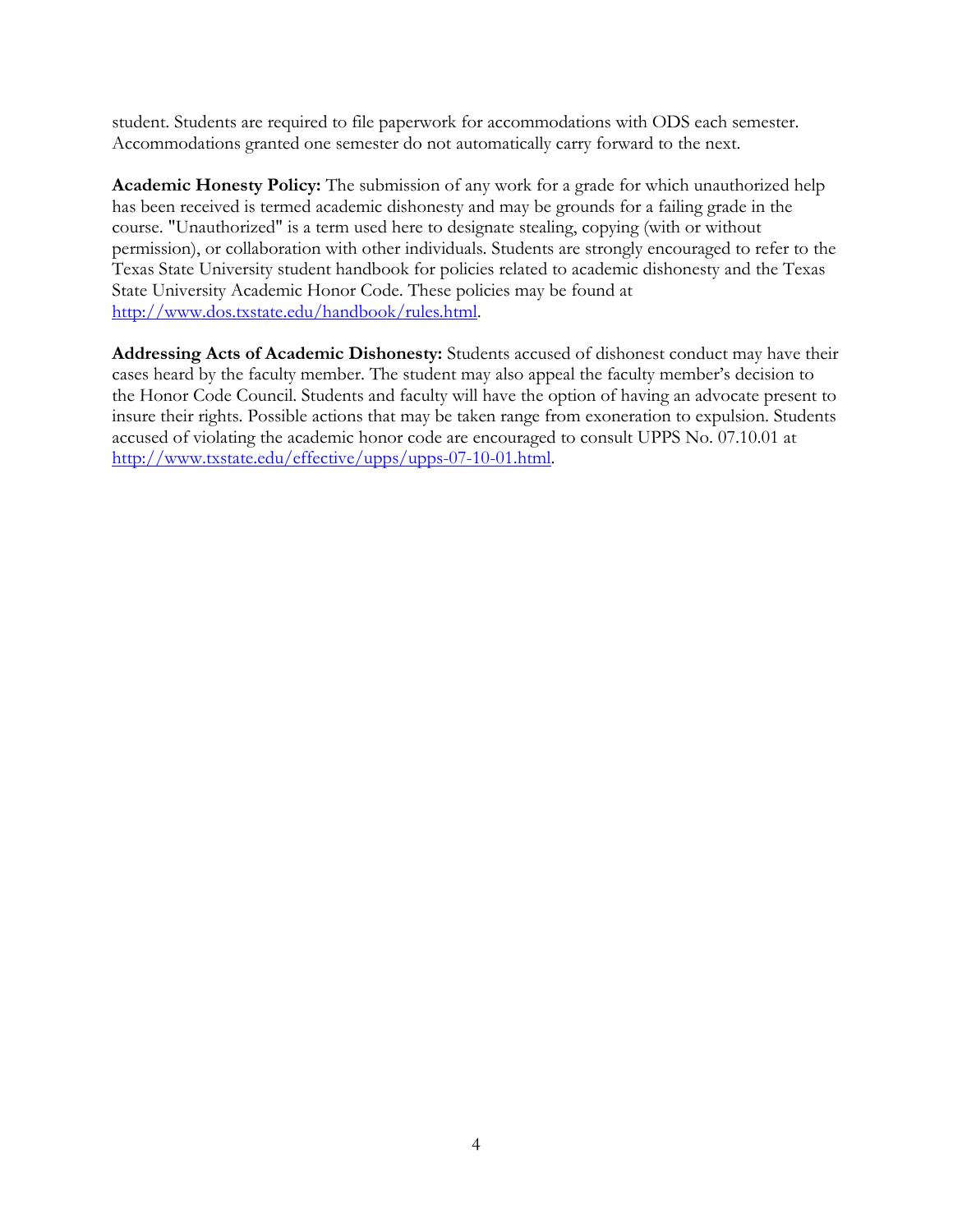student. Students are required to file paperwork for accommodations with ODS each semester. Accommodations granted one semester do not automatically carry forward to the next.

**Academic Honesty Policy:** The submission of any work for a grade for which unauthorized help has been received is termed academic dishonesty and may be grounds for a failing grade in the course. "Unauthorized" is a term used here to designate stealing, copying (with or without permission), or collaboration with other individuals. Students are strongly encouraged to refer to the Texas State University student handbook for policies related to academic dishonesty and the Texas State University Academic Honor Code. These policies may be found at [http://www.dos.txstate.edu/handbook/rules.html.](http://www.dos.txstate.edu/handbook/rules.html)

**Addressing Acts of Academic Dishonesty:** Students accused of dishonest conduct may have their cases heard by the faculty member. The student may also appeal the faculty member's decision to the Honor Code Council. Students and faculty will have the option of having an advocate present to insure their rights. Possible actions that may be taken range from exoneration to expulsion. Students accused of violating the academic honor code are encouraged to consult UPPS No. 07.10.01 at [http://www.txstate.edu/effective/upps/upps-07-10-01.html.](http://www.txstate.edu/effective/upps/upps-07-10-01.html)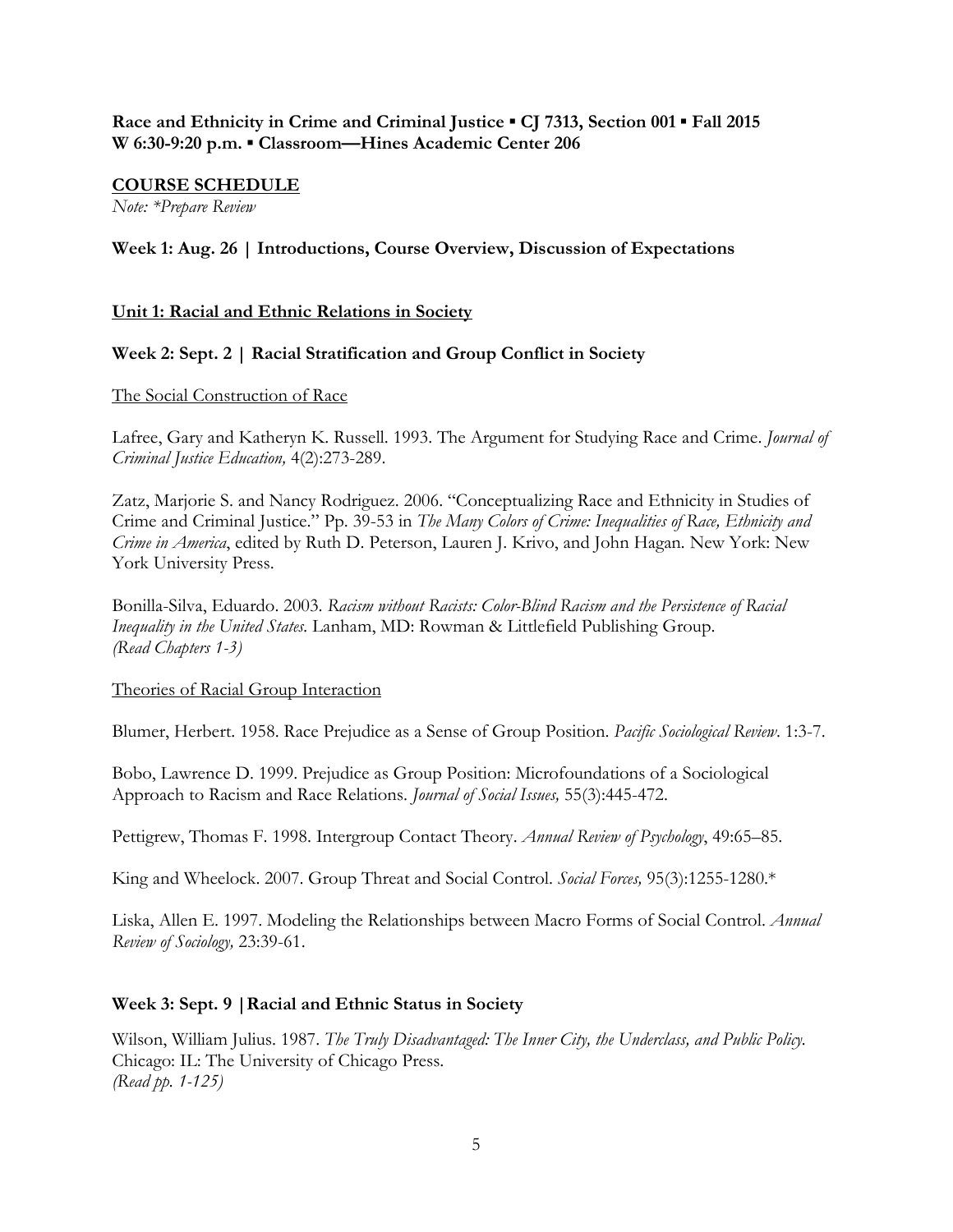# **Race and Ethnicity in Crime and Criminal Justice ▪ CJ 7313, Section 001 ▪ Fall 2015 W 6:30-9:20 p.m. ▪ Classroom—Hines Academic Center 206**

# **COURSE SCHEDULE**

*Note: \*Prepare Review*

# **Week 1: Aug. 26 | Introductions, Course Overview, Discussion of Expectations**

# **Unit 1: Racial and Ethnic Relations in Society**

# **Week 2: Sept. 2 | Racial Stratification and Group Conflict in Society**

#### The Social Construction of Race

Lafree, Gary and Katheryn K. Russell. 1993. The Argument for Studying Race and Crime. *Journal of Criminal Justice Education,* 4(2):273-289.

Zatz, Marjorie S. and Nancy Rodriguez. 2006. "Conceptualizing Race and Ethnicity in Studies of Crime and Criminal Justice." Pp. 39-53 in *The Many Colors of Crime: Inequalities of Race, Ethnicity and Crime in America*, edited by Ruth D. Peterson, Lauren J. Krivo, and John Hagan*.* New York: New York University Press.

Bonilla-Silva, Eduardo. 2003. *Racism without Racists: Color-Blind Racism and the Persistence of Racial Inequality in the United States.* Lanham, MD: Rowman & Littlefield Publishing Group. *(Read Chapters 1-3)*

# Theories of Racial Group Interaction

Blumer, Herbert. 1958. Race Prejudice as a Sense of Group Position. *Pacific Sociological Review*. 1:3-7.

Bobo, Lawrence D. 1999. Prejudice as Group Position: Microfoundations of a Sociological Approach to Racism and Race Relations. *Journal of Social Issues,* 55(3):445-472.

Pettigrew, Thomas F. 1998. Intergroup Contact Theory. *Annual Review of Psychology*, 49:65–85.

King and Wheelock. 2007. Group Threat and Social Control. *Social Forces,* 95(3):1255-1280.\*

Liska, Allen E. 1997. Modeling the Relationships between Macro Forms of Social Control. *Annual Review of Sociology,* 23:39-61.

# **Week 3: Sept. 9 |Racial and Ethnic Status in Society**

Wilson, William Julius. 1987. *The Truly Disadvantaged: The Inner City, the Underclass, and Public Policy.*  Chicago: IL: The University of Chicago Press. *(Read pp. 1-125)*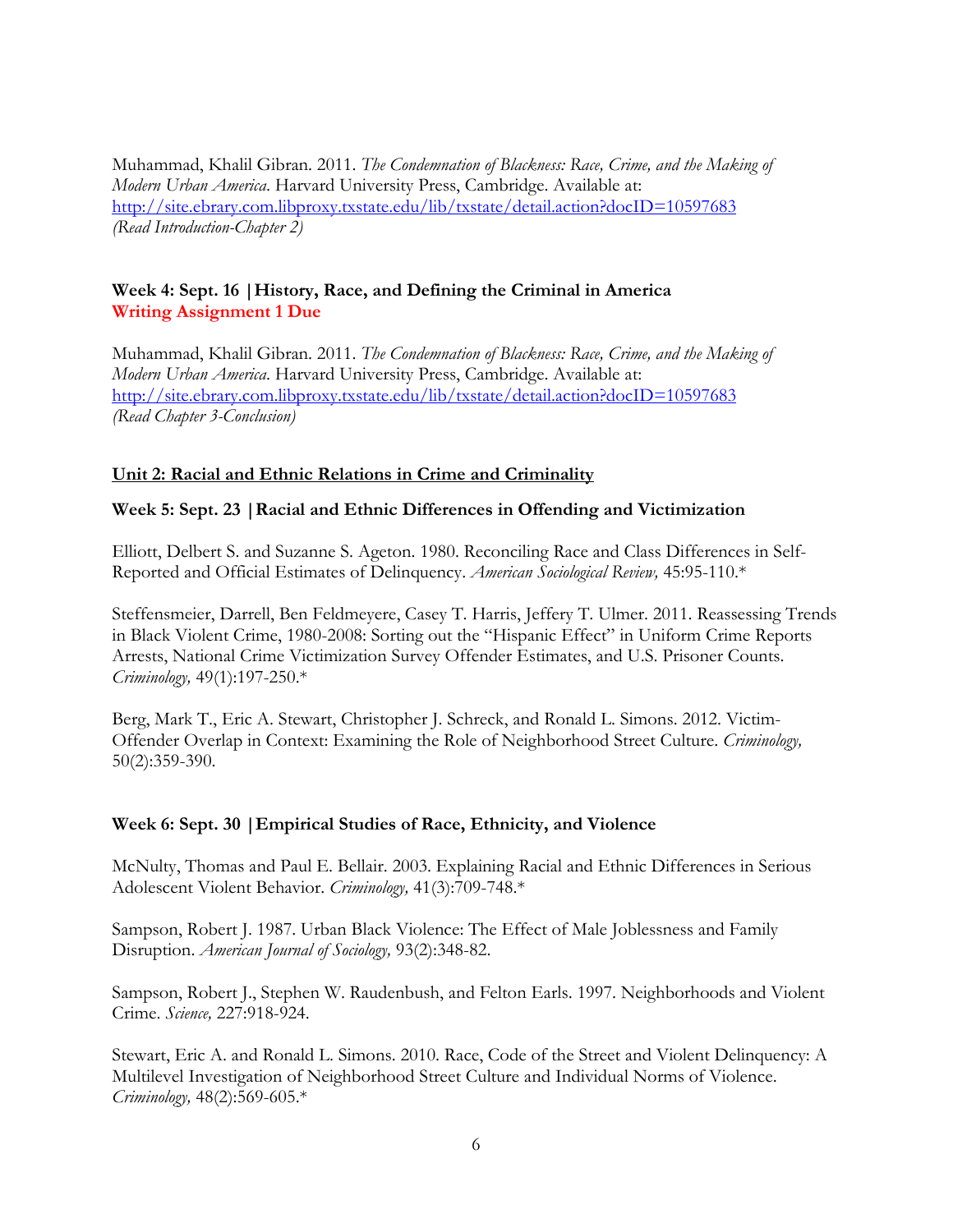Muhammad, Khalil Gibran. 2011. *The Condemnation of Blackness: Race, Crime, and the Making of Modern Urban America*. Harvard University Press, Cambridge. Available at: <http://site.ebrary.com.libproxy.txstate.edu/lib/txstate/detail.action?docID=10597683> *(Read Introduction-Chapter 2)*

# **Week 4: Sept. 16 |History, Race, and Defining the Criminal in America Writing Assignment 1 Due**

Muhammad, Khalil Gibran. 2011. *The Condemnation of Blackness: Race, Crime, and the Making of Modern Urban America*. Harvard University Press, Cambridge. Available at: <http://site.ebrary.com.libproxy.txstate.edu/lib/txstate/detail.action?docID=10597683> *(Read Chapter 3-Conclusion)*

# **Unit 2: Racial and Ethnic Relations in Crime and Criminality**

# **Week 5: Sept. 23 |Racial and Ethnic Differences in Offending and Victimization**

Elliott, Delbert S. and Suzanne S. Ageton. 1980. Reconciling Race and Class Differences in Self-Reported and Official Estimates of Delinquency. *American Sociological Review,* 45:95-110.\*

Steffensmeier, Darrell, Ben Feldmeyere, Casey T. Harris, Jeffery T. Ulmer. 2011. Reassessing Trends in Black Violent Crime, 1980-2008: Sorting out the "Hispanic Effect" in Uniform Crime Reports Arrests, National Crime Victimization Survey Offender Estimates, and U.S. Prisoner Counts. *Criminology,* 49(1):197-250.\*

Berg, Mark T., Eric A. Stewart, Christopher J. Schreck, and Ronald L. Simons. 2012. Victim-Offender Overlap in Context: Examining the Role of Neighborhood Street Culture. *Criminology,* 50(2):359-390.

# **Week 6: Sept. 30 |Empirical Studies of Race, Ethnicity, and Violence**

McNulty, Thomas and Paul E. Bellair. 2003. Explaining Racial and Ethnic Differences in Serious Adolescent Violent Behavior. *Criminology,* 41(3):709-748.\*

Sampson, Robert J. 1987. Urban Black Violence: The Effect of Male Joblessness and Family Disruption. *American Journal of Sociology,* 93(2):348-82.

Sampson, Robert J., Stephen W. Raudenbush, and Felton Earls. 1997. Neighborhoods and Violent Crime. *Science,* 227:918-924.

Stewart, Eric A. and Ronald L. Simons. 2010. Race, Code of the Street and Violent Delinquency: A Multilevel Investigation of Neighborhood Street Culture and Individual Norms of Violence. *Criminology,* 48(2):569-605.\*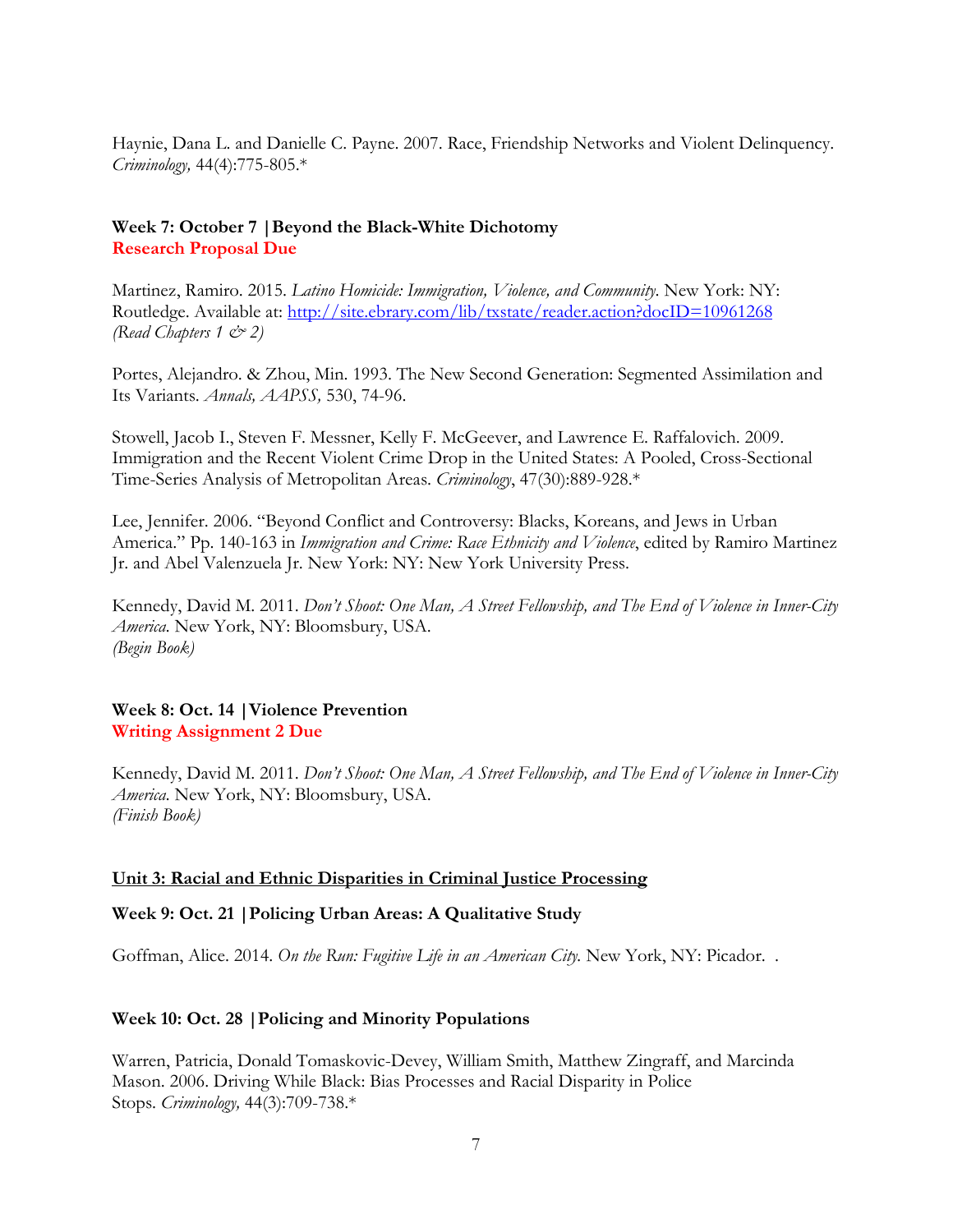Haynie, Dana L. and Danielle C. Payne. 2007. Race, Friendship Networks and Violent Delinquency. *Criminology,* 44(4):775-805.\*

### **Week 7: October 7 |Beyond the Black-White Dichotomy Research Proposal Due**

Martinez, Ramiro. 2015. *Latino Homicide: Immigration, Violence, and Community*. New York: NY: Routledge. Available at: <http://site.ebrary.com/lib/txstate/reader.action?docID=10961268> *(Read Chapters 1 & 2)*

Portes, Alejandro. & Zhou, Min. 1993. The New Second Generation: Segmented Assimilation and Its Variants. *Annals, AAPSS,* 530, 74-96.

Stowell, Jacob I., Steven F. Messner, Kelly F. McGeever, and Lawrence E. Raffalovich. 2009. Immigration and the Recent Violent Crime Drop in the United States: A Pooled, Cross-Sectional Time-Series Analysis of Metropolitan Areas. *Criminology*, 47(30):889-928.\*

Lee, Jennifer. 2006. "Beyond Conflict and Controversy: Blacks, Koreans, and Jews in Urban America." Pp. 140-163 in *Immigration and Crime: Race Ethnicity and Violence*, edited by Ramiro Martinez Jr. and Abel Valenzuela Jr. New York: NY: New York University Press.

Kennedy, David M. 2011. *Don't Shoot: One Man, A Street Fellowship, and The End of Violence in Inner-City America.* New York, NY: Bloomsbury, USA. *(Begin Book)*

#### **Week 8: Oct. 14 |Violence Prevention Writing Assignment 2 Due**

Kennedy, David M. 2011. *Don't Shoot: One Man, A Street Fellowship, and The End of Violence in Inner-City America.* New York, NY: Bloomsbury, USA. *(Finish Book)*

#### **Unit 3: Racial and Ethnic Disparities in Criminal Justice Processing**

#### **Week 9: Oct. 21 |Policing Urban Areas: A Qualitative Study**

Goffman, Alice. 2014. *On the Run: Fugitive Life in an American City*. New York, NY: Picador. .

#### **Week 10: Oct. 28 |Policing and Minority Populations**

Warren, Patricia, Donald Tomaskovic-Devey, William Smith, Matthew Zingraff, and Marcinda Mason. 2006. Driving While Black: Bias Processes and Racial Disparity in Police Stops. *Criminology,* 44(3):709-738.\*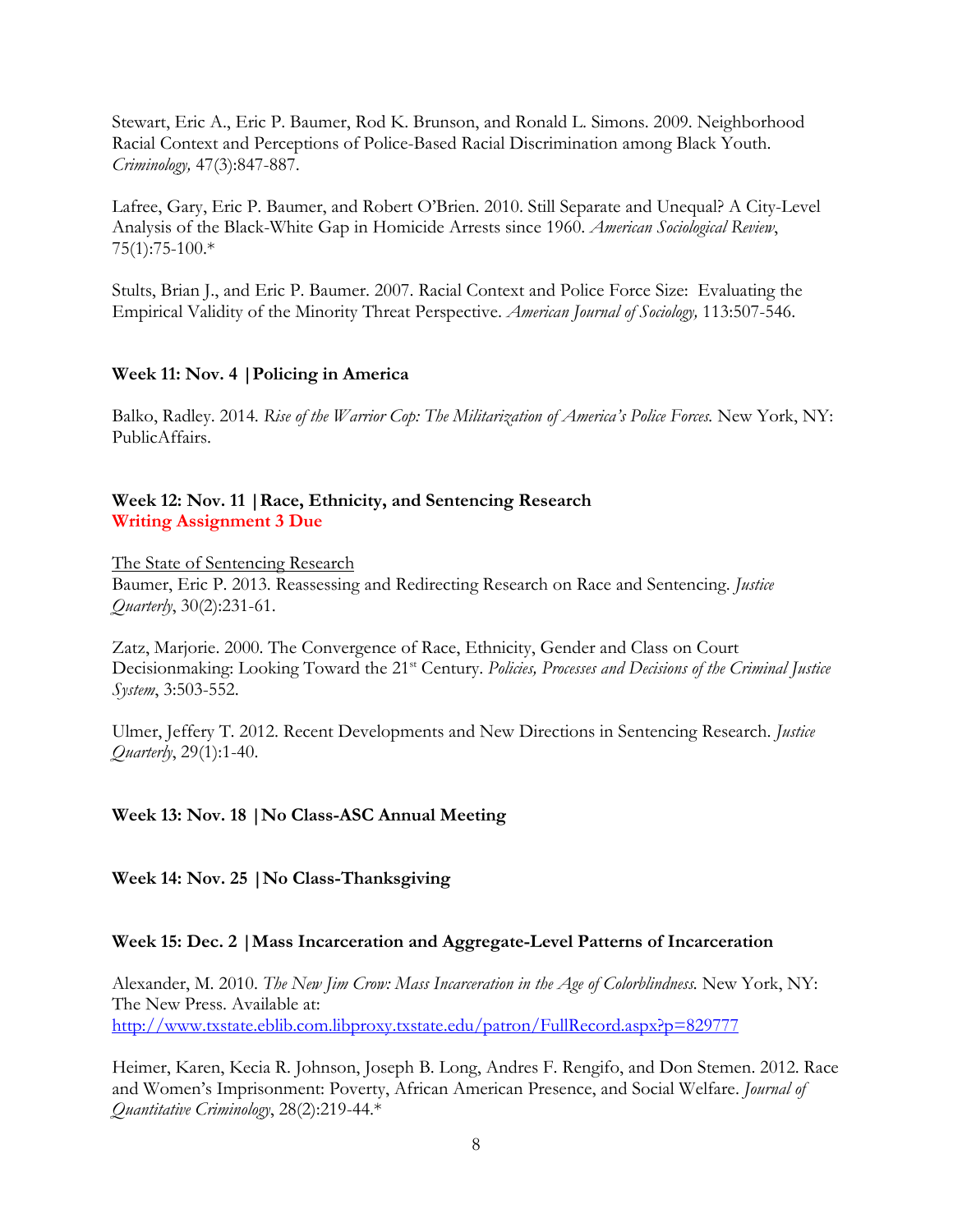Stewart, Eric A., Eric P. Baumer, Rod K. Brunson, and Ronald L. Simons. 2009. Neighborhood Racial Context and Perceptions of Police-Based Racial Discrimination among Black Youth. *Criminology,* 47(3):847-887.

Lafree, Gary, Eric P. Baumer, and Robert O'Brien. 2010. Still Separate and Unequal? A City-Level Analysis of the Black-White Gap in Homicide Arrests since 1960. *American Sociological Review*, 75(1):75-100.\*

Stults, Brian J., and Eric P. Baumer. 2007. Racial Context and Police Force Size: Evaluating the Empirical Validity of the Minority Threat Perspective. *American Journal of Sociology,* 113:507-546.

# **Week 11: Nov. 4 |Policing in America**

Balko, Radley. 2014. *Rise of the Warrior Cop: The Militarization of America's Police Forces.* New York, NY: PublicAffairs.

# **Week 12: Nov. 11 |Race, Ethnicity, and Sentencing Research Writing Assignment 3 Due**

The State of Sentencing Research Baumer, Eric P. 2013. Reassessing and Redirecting Research on Race and Sentencing. *Justice Quarterly*, 30(2):231-61.

Zatz, Marjorie. 2000. The Convergence of Race, Ethnicity, Gender and Class on Court Decisionmaking: Looking Toward the 21<sup>st</sup> Century. *Policies, Processes and Decisions of the Criminal Justice System*, 3:503-552.

Ulmer, Jeffery T. 2012. Recent Developments and New Directions in Sentencing Research. *Justice Quarterly*, 29(1):1-40.

# **Week 13: Nov. 18 |No Class-ASC Annual Meeting**

**Week 14: Nov. 25 |No Class-Thanksgiving** 

# **Week 15: Dec. 2 |Mass Incarceration and Aggregate-Level Patterns of Incarceration**

Alexander, M. 2010. *The New Jim Crow: Mass Incarceration in the Age of Colorblindness.* New York, NY: The New Press. Available at: [http://www.txstate.eblib.com.libproxy.txstate.edu/](http://www.txstate.eblib.com.libproxy.txstate.edu/patron/FullRecord.aspx?p=829777)patron/FullRecord.aspx?p=829777

Heimer, Karen, Kecia R. Johnson, Joseph B. Long, Andres F. Rengifo, and Don Stemen. 2012. Race and Women's Imprisonment: Poverty, African American Presence, and Social Welfare. *Journal of Quantitative Criminology*, 28(2):219-44.\*